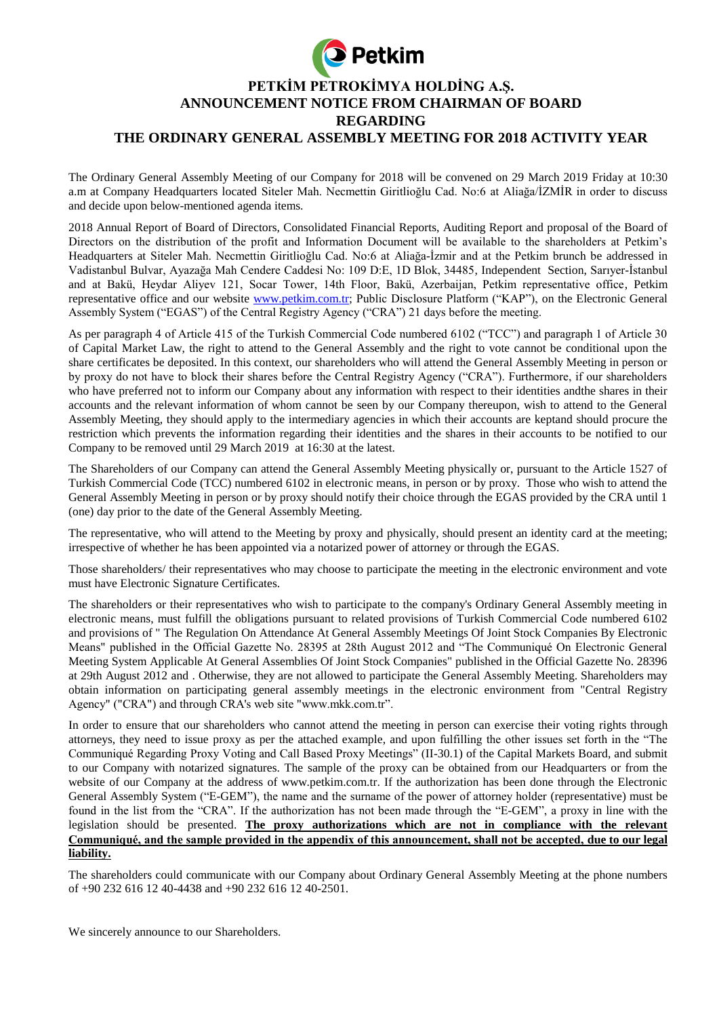

The Ordinary General Assembly Meeting of our Company for 2018 will be convened on 29 March 2019 Friday at 10:30 a.m at Company Headquarters located Siteler Mah. Necmettin Giritlioğlu Cad. No:6 at Aliağa/İZMİR in order to discuss and decide upon below-mentioned agenda items.

2018 Annual Report of Board of Directors, Consolidated Financial Reports, Auditing Report and proposal of the Board of Directors on the distribution of the profit and Information Document will be available to the shareholders at Petkim's Headquarters at Siteler Mah. Necmettin Giritlioğlu Cad. No:6 at Aliağa-İzmir and at the Petkim brunch be addressed in Vadistanbul Bulvar, Ayazağa Mah Cendere Caddesi No: 109 D:E, 1D Blok, 34485, Independent Section, Sarıyer-İstanbul and at Bakü, Heydar Aliyev 121, Socar Tower, 14th Floor, Bakü, Azerbaijan, Petkim representative office, Petkim representative office and our website [www.petkim.com.tr;](http://www.petkim.com.tr/) Public Disclosure Platform ("KAP"), on the Electronic General Assembly System ("EGAS") of the Central Registry Agency ("CRA") 21 days before the meeting.

As per paragraph 4 of Article 415 of the Turkish Commercial Code numbered 6102 ("TCC") and paragraph 1 of Article 30 of Capital Market Law, the right to attend to the General Assembly and the right to vote cannot be conditional upon the share certificates be deposited. In this context, our shareholders who will attend the General Assembly Meeting in person or by proxy do not have to block their shares before the Central Registry Agency ("CRA"). Furthermore, if our shareholders who have preferred not to inform our Company about any information with respect to their identities andthe shares in their accounts and the relevant information of whom cannot be seen by our Company thereupon, wish to attend to the General Assembly Meeting, they should apply to the intermediary agencies in which their accounts are keptand should procure the restriction which prevents the information regarding their identities and the shares in their accounts to be notified to our Company to be removed until 29 March 2019 at 16:30 at the latest.

The Shareholders of our Company can attend the General Assembly Meeting physically or, pursuant to the Article 1527 of Turkish Commercial Code (TCC) numbered 6102 in electronic means, in person or by proxy. Those who wish to attend the General Assembly Meeting in person or by proxy should notify their choice through the EGAS provided by the CRA until 1 (one) day prior to the date of the General Assembly Meeting.

The representative, who will attend to the Meeting by proxy and physically, should present an identity card at the meeting; irrespective of whether he has been appointed via a notarized power of attorney or through the EGAS.

Those shareholders/ their representatives who may choose to participate the meeting in the electronic environment and vote must have Electronic Signature Certificates.

The shareholders or their representatives who wish to participate to the company's Ordinary General Assembly meeting in electronic means, must fulfill the obligations pursuant to related provisions of Turkish Commercial Code numbered 6102 and provisions of " The Regulation On Attendance At General Assembly Meetings Of Joint Stock Companies By Electronic Means" published in the Official Gazette No. 28395 at 28th August 2012 and "The Communiqué On Electronic General Meeting System Applicable At General Assemblies Of Joint Stock Companies" published in the Official Gazette No. 28396 at 29th August 2012 and . Otherwise, they are not allowed to participate the General Assembly Meeting. Shareholders may obtain information on participating general assembly meetings in the electronic environment from "Central Registry Agency" ("CRA") and through CRA's web site "www.mkk.com.tr".

In order to ensure that our shareholders who cannot attend the meeting in person can exercise their voting rights through attorneys, they need to issue proxy as per the attached example, and upon fulfilling the other issues set forth in the "The Communiqué Regarding Proxy Voting and Call Based Proxy Meetings" (II-30.1) of the Capital Markets Board, and submit to our Company with notarized signatures. The sample of the proxy can be obtained from our Headquarters or from the website of our Company at the address of www.petkim.com.tr. If the authorization has been done through the Electronic General Assembly System ("E-GEM"), the name and the surname of the power of attorney holder (representative) must be found in the list from the "CRA". If the authorization has not been made through the "E-GEM", a proxy in line with the legislation should be presented. **The proxy authorizations which are not in compliance with the relevant Communiqué, and the sample provided in the appendix of this announcement, shall not be accepted, due to our legal liability.**

The shareholders could communicate with our Company about Ordinary General Assembly Meeting at the phone numbers of +90 232 616 12 40-4438 and +90 232 616 12 40-2501.

We sincerely announce to our Shareholders.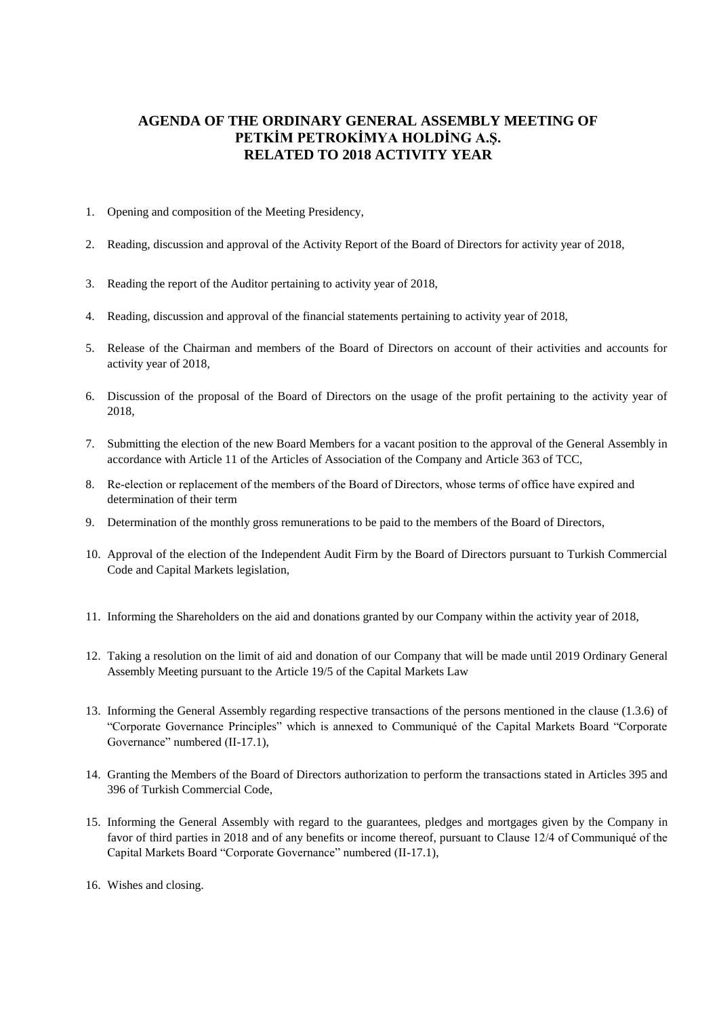# **AGENDA OF THE ORDINARY GENERAL ASSEMBLY MEETING OF PETKİM PETROKİMYA HOLDİNG A.Ş. RELATED TO 2018 ACTIVITY YEAR**

- 1. Opening and composition of the Meeting Presidency,
- 2. Reading, discussion and approval of the Activity Report of the Board of Directors for activity year of 2018,
- 3. Reading the report of the Auditor pertaining to activity year of 2018,
- 4. Reading, discussion and approval of the financial statements pertaining to activity year of 2018,
- 5. Release of the Chairman and members of the Board of Directors on account of their activities and accounts for activity year of 2018,
- 6. Discussion of the proposal of the Board of Directors on the usage of the profit pertaining to the activity year of 2018,
- 7. Submitting the election of the new Board Members for a vacant position to the approval of the General Assembly in accordance with Article 11 of the Articles of Association of the Company and Article 363 of TCC,
- 8. Re-election or replacement of the members of the Board of Directors, whose terms of office have expired and determination of their term
- 9. Determination of the monthly gross remunerations to be paid to the members of the Board of Directors,
- 10. Approval of the election of the Independent Audit Firm by the Board of Directors pursuant to Turkish Commercial Code and Capital Markets legislation,
- 11. Informing the Shareholders on the aid and donations granted by our Company within the activity year of 2018,
- 12. Taking a resolution on the limit of aid and donation of our Company that will be made until 2019 Ordinary General Assembly Meeting pursuant to the Article 19/5 of the Capital Markets Law
- 13. Informing the General Assembly regarding respective transactions of the persons mentioned in the clause (1.3.6) of "Corporate Governance Principles" which is annexed to Communiqué of the Capital Markets Board "Corporate Governance" numbered (II-17.1),
- 14. Granting the Members of the Board of Directors authorization to perform the transactions stated in Articles 395 and 396 of Turkish Commercial Code,
- 15. Informing the General Assembly with regard to the guarantees, pledges and mortgages given by the Company in favor of third parties in 2018 and of any benefits or income thereof, pursuant to Clause 12/4 of Communiqué of the Capital Markets Board "Corporate Governance" numbered (II-17.1),
- 16. Wishes and closing.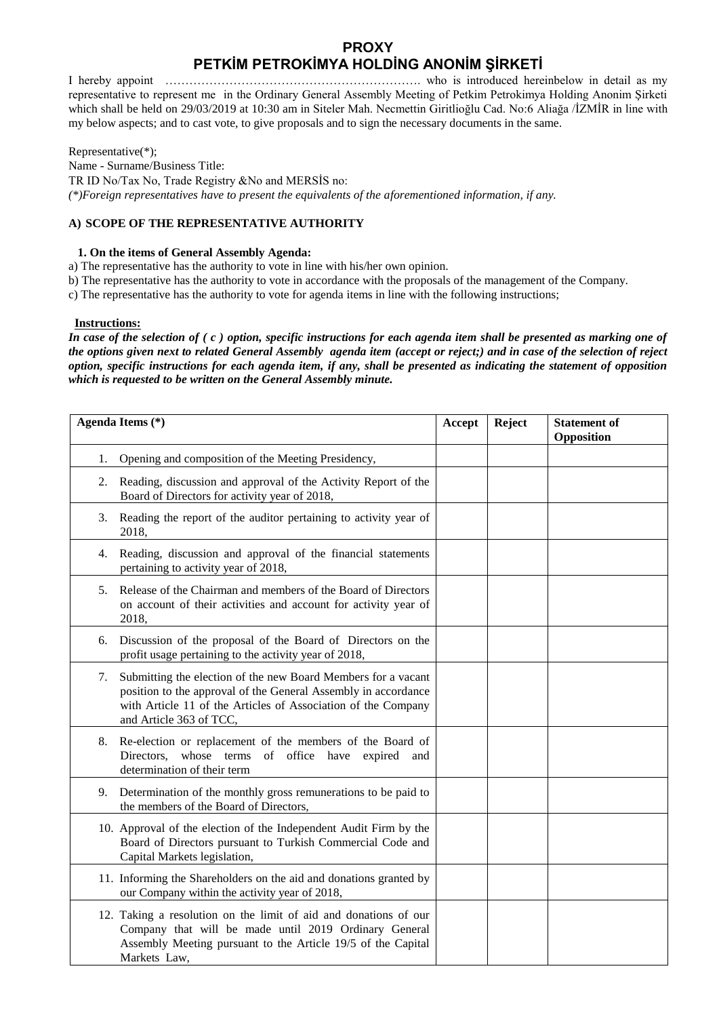# **PROXY PETKİM PETROKİMYA HOLDİNG ANONİM ŞİRKETİ**

I hereby appoint ………………………………………………………. who is introduced hereinbelow in detail as my representative to represent me in the Ordinary General Assembly Meeting of Petkim Petrokimya Holding Anonim Şirketi which shall be held on 29/03/2019 at 10:30 am in Siteler Mah. Necmettin Giritlioğlu Cad. No:6 Aliağa /İZMİR in line with my below aspects; and to cast vote, to give proposals and to sign the necessary documents in the same.

Representative(\*);

Name - Surname/Business Title: TR ID No/Tax No, Trade Registry &No and MERSİS no: *(\*)Foreign representatives have to present the equivalents of the aforementioned information, if any.* 

## **A) SCOPE OF THE REPRESENTATIVE AUTHORITY**

## **1. On the items of General Assembly Agenda:**

a) The representative has the authority to vote in line with his/her own opinion.

b) The representative has the authority to vote in accordance with the proposals of the management of the Company.

c) The representative has the authority to vote for agenda items in line with the following instructions;

### **Instructions:**

*In case of the selection of ( c ) option, specific instructions for each agenda item shall be presented as marking one of the options given next to related General Assembly agenda item (accept or reject;) and in case of the selection of reject option, specific instructions for each agenda item, if any, shall be presented as indicating the statement of opposition which is requested to be written on the General Assembly minute.*

|    | Agenda Items (*)                                                                                                                                                                                                            | Accept | Reject | <b>Statement of</b><br>Opposition |
|----|-----------------------------------------------------------------------------------------------------------------------------------------------------------------------------------------------------------------------------|--------|--------|-----------------------------------|
| 1. | Opening and composition of the Meeting Presidency,                                                                                                                                                                          |        |        |                                   |
| 2. | Reading, discussion and approval of the Activity Report of the<br>Board of Directors for activity year of 2018,                                                                                                             |        |        |                                   |
|    | 3. Reading the report of the auditor pertaining to activity year of<br>2018,                                                                                                                                                |        |        |                                   |
| 4. | Reading, discussion and approval of the financial statements<br>pertaining to activity year of 2018,                                                                                                                        |        |        |                                   |
| 5. | Release of the Chairman and members of the Board of Directors<br>on account of their activities and account for activity year of<br>2018,                                                                                   |        |        |                                   |
| 6. | Discussion of the proposal of the Board of Directors on the<br>profit usage pertaining to the activity year of 2018,                                                                                                        |        |        |                                   |
| 7. | Submitting the election of the new Board Members for a vacant<br>position to the approval of the General Assembly in accordance<br>with Article 11 of the Articles of Association of the Company<br>and Article 363 of TCC, |        |        |                                   |
| 8. | Re-election or replacement of the members of the Board of<br>Directors,<br>whose terms of office have expired<br>and<br>determination of their term                                                                         |        |        |                                   |
| 9. | Determination of the monthly gross remunerations to be paid to<br>the members of the Board of Directors,                                                                                                                    |        |        |                                   |
|    | 10. Approval of the election of the Independent Audit Firm by the<br>Board of Directors pursuant to Turkish Commercial Code and<br>Capital Markets legislation,                                                             |        |        |                                   |
|    | 11. Informing the Shareholders on the aid and donations granted by<br>our Company within the activity year of 2018,                                                                                                         |        |        |                                   |
|    | 12. Taking a resolution on the limit of aid and donations of our<br>Company that will be made until 2019 Ordinary General<br>Assembly Meeting pursuant to the Article 19/5 of the Capital<br>Markets Law,                   |        |        |                                   |